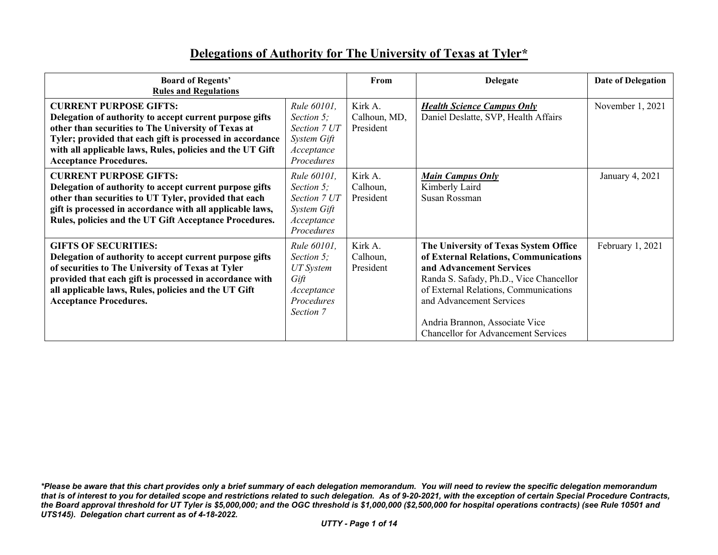## **Delegations of Authority for The University of Texas at Tyler\***

| <b>Board of Regents'</b><br><b>Rules and Regulations</b>                                                                                                                                                                                                                                                   |                                                                                                | From                                 | <b>Delegate</b>                                                                                                                                                                                                                                                                                            | <b>Date of Delegation</b> |
|------------------------------------------------------------------------------------------------------------------------------------------------------------------------------------------------------------------------------------------------------------------------------------------------------------|------------------------------------------------------------------------------------------------|--------------------------------------|------------------------------------------------------------------------------------------------------------------------------------------------------------------------------------------------------------------------------------------------------------------------------------------------------------|---------------------------|
| <b>CURRENT PURPOSE GIFTS:</b><br>Delegation of authority to accept current purpose gifts<br>other than securities to The University of Texas at<br>Tyler; provided that each gift is processed in accordance<br>with all applicable laws, Rules, policies and the UT Gift<br><b>Acceptance Procedures.</b> | Rule 60101,<br>Section 5;<br>Section 7 UT<br>System Gift<br>Acceptance<br>Procedures           | Kirk A.<br>Calhoun, MD,<br>President | <b>Health Science Campus Only</b><br>Daniel Deslatte, SVP, Health Affairs                                                                                                                                                                                                                                  | November 1, 2021          |
| <b>CURRENT PURPOSE GIFTS:</b><br>Delegation of authority to accept current purpose gifts<br>other than securities to UT Tyler, provided that each<br>gift is processed in accordance with all applicable laws,<br>Rules, policies and the UT Gift Acceptance Procedures.                                   | Rule 60101,<br>Section 5:<br>Section 7 UT<br>System Gift<br>Acceptance<br>Procedures           | Kirk A.<br>Calhoun,<br>President     | <b>Main Campus Only</b><br>Kimberly Laird<br>Susan Rossman                                                                                                                                                                                                                                                 | January 4, 2021           |
| <b>GIFTS OF SECURITIES:</b><br>Delegation of authority to accept current purpose gifts<br>of securities to The University of Texas at Tyler<br>provided that each gift is processed in accordance with<br>all applicable laws, Rules, policies and the UT Gift<br><b>Acceptance Procedures.</b>            | Rule 60101,<br>Section 5;<br><b>UT</b> System<br>Gift<br>Acceptance<br>Procedures<br>Section 7 | Kirk A.<br>Calhoun,<br>President     | The University of Texas System Office<br>of External Relations, Communications<br>and Advancement Services<br>Randa S. Safady, Ph.D., Vice Chancellor<br>of External Relations, Communications<br>and Advancement Services<br>Andria Brannon, Associate Vice<br><b>Chancellor for Advancement Services</b> | February 1, 2021          |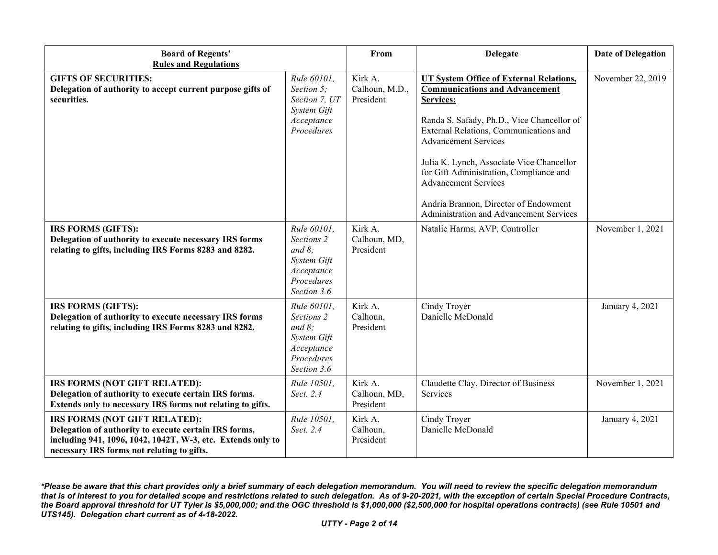| <b>Board of Regents'</b><br><b>Rules and Regulations</b>                                                                                                                                            |                                                                                                  | From                                   | <b>Delegate</b>                                                                                                                                                                                                                                                                                                                                                                                                                        | <b>Date of Delegation</b> |
|-----------------------------------------------------------------------------------------------------------------------------------------------------------------------------------------------------|--------------------------------------------------------------------------------------------------|----------------------------------------|----------------------------------------------------------------------------------------------------------------------------------------------------------------------------------------------------------------------------------------------------------------------------------------------------------------------------------------------------------------------------------------------------------------------------------------|---------------------------|
| <b>GIFTS OF SECURITIES:</b><br>Delegation of authority to accept current purpose gifts of<br>securities.                                                                                            | Rule 60101,<br>Section 5;<br>Section 7, UT<br>System Gift<br>Acceptance<br>Procedures            | Kirk A.<br>Calhoun, M.D.,<br>President | <b>UT System Office of External Relations,</b><br><b>Communications and Advancement</b><br>Services:<br>Randa S. Safady, Ph.D., Vice Chancellor of<br>External Relations, Communications and<br><b>Advancement Services</b><br>Julia K. Lynch, Associate Vice Chancellor<br>for Gift Administration, Compliance and<br><b>Advancement Services</b><br>Andria Brannon, Director of Endowment<br>Administration and Advancement Services | November 22, 2019         |
| <b>IRS FORMS (GIFTS):</b><br>Delegation of authority to execute necessary IRS forms<br>relating to gifts, including IRS Forms 8283 and 8282.                                                        | Rule 60101,<br>Sections 2<br>and $8$ ;<br>System Gift<br>Acceptance<br>Procedures<br>Section 3.6 | Kirk A.<br>Calhoun, MD,<br>President   | Natalie Harms, AVP, Controller                                                                                                                                                                                                                                                                                                                                                                                                         | November 1, 2021          |
| IRS FORMS (GIFTS):<br>Delegation of authority to execute necessary IRS forms<br>relating to gifts, including IRS Forms 8283 and 8282.                                                               | Rule 60101,<br>Sections 2<br>and $8$ ;<br>System Gift<br>Acceptance<br>Procedures<br>Section 3.6 | Kirk A.<br>Calhoun,<br>President       | Cindy Troyer<br>Danielle McDonald                                                                                                                                                                                                                                                                                                                                                                                                      | January 4, 2021           |
| IRS FORMS (NOT GIFT RELATED):<br>Delegation of authority to execute certain IRS forms.<br>Extends only to necessary IRS forms not relating to gifts.                                                | Rule 10501,<br>Sect. 2.4                                                                         | Kirk A.<br>Calhoun, MD,<br>President   | Claudette Clay, Director of Business<br>Services                                                                                                                                                                                                                                                                                                                                                                                       | November 1, 2021          |
| IRS FORMS (NOT GIFT RELATED):<br>Delegation of authority to execute certain IRS forms,<br>including 941, 1096, 1042, 1042T, W-3, etc. Extends only to<br>necessary IRS forms not relating to gifts. | Rule 10501,<br>Sect. 2.4                                                                         | Kirk A.<br>Calhoun,<br>President       | Cindy Troyer<br>Danielle McDonald                                                                                                                                                                                                                                                                                                                                                                                                      | January 4, 2021           |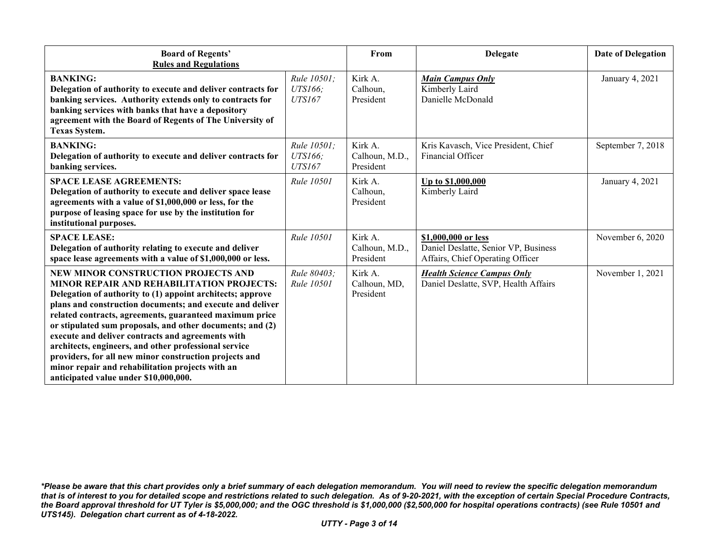| <b>Board of Regents'</b><br><b>Rules and Regulations</b>                                                                                                                                                                                                                                                                                                                                                                                                                                                                                                                                                        |                                         | From                                   | <b>Delegate</b>                                                                                 | <b>Date of Delegation</b> |
|-----------------------------------------------------------------------------------------------------------------------------------------------------------------------------------------------------------------------------------------------------------------------------------------------------------------------------------------------------------------------------------------------------------------------------------------------------------------------------------------------------------------------------------------------------------------------------------------------------------------|-----------------------------------------|----------------------------------------|-------------------------------------------------------------------------------------------------|---------------------------|
| <b>BANKING:</b><br>Delegation of authority to execute and deliver contracts for<br>banking services. Authority extends only to contracts for<br>banking services with banks that have a depository<br>agreement with the Board of Regents of The University of<br>Texas System.                                                                                                                                                                                                                                                                                                                                 | Rule 10501;<br>UTS166;<br><b>UTS167</b> | Kirk A.<br>Calhoun,<br>President       | <b>Main Campus Only</b><br>Kimberly Laird<br>Danielle McDonald                                  | January 4, 2021           |
| <b>BANKING:</b><br>Delegation of authority to execute and deliver contracts for<br>banking services.                                                                                                                                                                                                                                                                                                                                                                                                                                                                                                            | Rule 10501;<br>UTS166;<br><b>UTS167</b> | Kirk A.<br>Calhoun, M.D.,<br>President | Kris Kavasch, Vice President, Chief<br>Financial Officer                                        | September 7, 2018         |
| <b>SPACE LEASE AGREEMENTS:</b><br>Delegation of authority to execute and deliver space lease<br>agreements with a value of \$1,000,000 or less, for the<br>purpose of leasing space for use by the institution for<br>institutional purposes.                                                                                                                                                                                                                                                                                                                                                                   | <b>Rule 10501</b>                       | Kirk A.<br>Calhoun,<br>President       | Up to \$1,000,000<br>Kimberly Laird                                                             | January 4, 2021           |
| <b>SPACE LEASE:</b><br>Delegation of authority relating to execute and deliver<br>space lease agreements with a value of \$1,000,000 or less.                                                                                                                                                                                                                                                                                                                                                                                                                                                                   | Rule 10501                              | Kirk A.<br>Calhoun, M.D.,<br>President | \$1,000,000 or less<br>Daniel Deslatte, Senior VP, Business<br>Affairs, Chief Operating Officer | November 6, 2020          |
| NEW MINOR CONSTRUCTION PROJECTS AND<br><b>MINOR REPAIR AND REHABILITATION PROJECTS:</b><br>Delegation of authority to (1) appoint architects; approve<br>plans and construction documents; and execute and deliver<br>related contracts, agreements, guaranteed maximum price<br>or stipulated sum proposals, and other documents; and (2)<br>execute and deliver contracts and agreements with<br>architects, engineers, and other professional service<br>providers, for all new minor construction projects and<br>minor repair and rehabilitation projects with an<br>anticipated value under \$10,000,000. | Rule 80403:<br><b>Rule 10501</b>        | Kirk A.<br>Calhoun, MD,<br>President   | <b>Health Science Campus Only</b><br>Daniel Deslatte, SVP, Health Affairs                       | November 1, 2021          |

*<sup>\*</sup>Please be aware that this chart provides only a brief summary of each delegation memorandum. You will need to review the specific delegation memorandum that is of interest to you for detailed scope and restrictions related to such delegation. As of 9-20-2021, with the exception of certain Special Procedure Contracts, the Board approval threshold for UT Tyler is \$5,000,000; and the OGC threshold is \$1,000,000 (\$2,500,000 for hospital operations contracts) (see Rule 10501 and UTS145). Delegation chart current as of 4-18-2022.*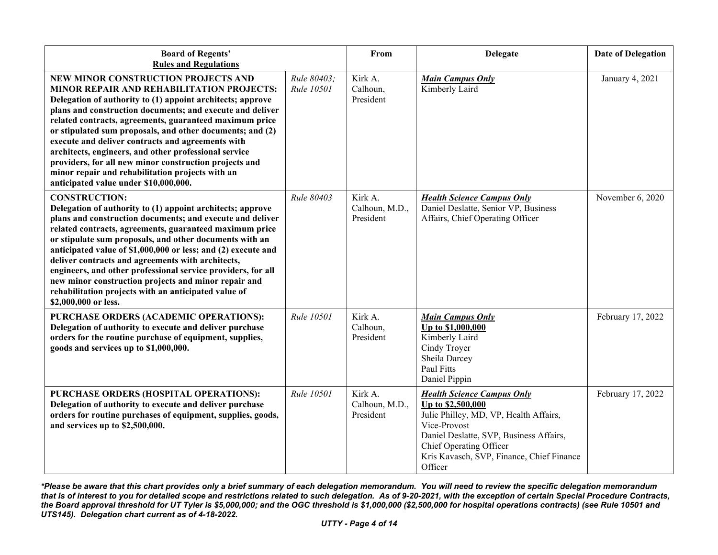| <b>Board of Regents'</b><br><b>Rules and Regulations</b>                                                                                                                                                                                                                                                                                                                                                                                                                                                                                                                                                        |                                  | From                                   | Delegate                                                                                                                                                                                                                                       | <b>Date of Delegation</b> |
|-----------------------------------------------------------------------------------------------------------------------------------------------------------------------------------------------------------------------------------------------------------------------------------------------------------------------------------------------------------------------------------------------------------------------------------------------------------------------------------------------------------------------------------------------------------------------------------------------------------------|----------------------------------|----------------------------------------|------------------------------------------------------------------------------------------------------------------------------------------------------------------------------------------------------------------------------------------------|---------------------------|
| NEW MINOR CONSTRUCTION PROJECTS AND<br><b>MINOR REPAIR AND REHABILITATION PROJECTS:</b><br>Delegation of authority to (1) appoint architects; approve<br>plans and construction documents; and execute and deliver<br>related contracts, agreements, guaranteed maximum price<br>or stipulated sum proposals, and other documents; and (2)<br>execute and deliver contracts and agreements with<br>architects, engineers, and other professional service<br>providers, for all new minor construction projects and<br>minor repair and rehabilitation projects with an<br>anticipated value under \$10,000,000. | Rule 80403;<br><b>Rule 10501</b> | Kirk A.<br>Calhoun,<br>President       | <b>Main Campus Only</b><br>Kimberly Laird                                                                                                                                                                                                      | January 4, 2021           |
| <b>CONSTRUCTION:</b><br>Delegation of authority to (1) appoint architects; approve<br>plans and construction documents; and execute and deliver<br>related contracts, agreements, guaranteed maximum price<br>or stipulate sum proposals, and other documents with an<br>anticipated value of \$1,000,000 or less; and (2) execute and<br>deliver contracts and agreements with architects,<br>engineers, and other professional service providers, for all<br>new minor construction projects and minor repair and<br>rehabilitation projects with an anticipated value of<br>\$2,000,000 or less.             | Rule 80403                       | Kirk A.<br>Calhoun, M.D.,<br>President | <b>Health Science Campus Only</b><br>Daniel Deslatte, Senior VP, Business<br>Affairs, Chief Operating Officer                                                                                                                                  | November 6, 2020          |
| PURCHASE ORDERS (ACADEMIC OPERATIONS):<br>Delegation of authority to execute and deliver purchase<br>orders for the routine purchase of equipment, supplies,<br>goods and services up to \$1,000,000.                                                                                                                                                                                                                                                                                                                                                                                                           | Rule 10501                       | Kirk A.<br>Calhoun,<br>President       | <b>Main Campus Only</b><br>Up to \$1,000,000<br>Kimberly Laird<br>Cindy Troyer<br>Sheila Darcey<br><b>Paul Fitts</b><br>Daniel Pippin                                                                                                          | February 17, 2022         |
| PURCHASE ORDERS (HOSPITAL OPERATIONS):<br>Delegation of authority to execute and deliver purchase<br>orders for routine purchases of equipment, supplies, goods,<br>and services up to \$2,500,000.                                                                                                                                                                                                                                                                                                                                                                                                             | Rule 10501                       | Kirk A.<br>Calhoun, M.D.,<br>President | <b>Health Science Campus Only</b><br>Up to \$2,500,000<br>Julie Philley, MD, VP, Health Affairs,<br>Vice-Provost<br>Daniel Deslatte, SVP, Business Affairs,<br>Chief Operating Officer<br>Kris Kavasch, SVP, Finance, Chief Finance<br>Officer | February 17, 2022         |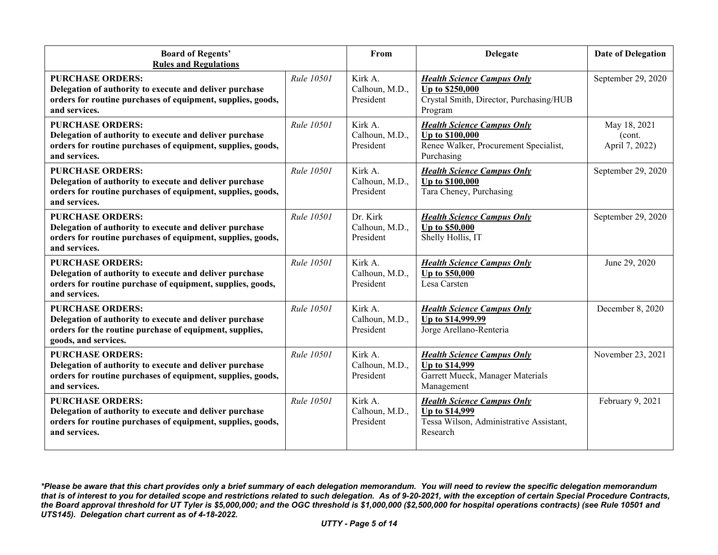| <b>Board of Regents'</b><br><b>Rules and Regulations</b>                                                                                                              |                   | From                                    | <b>Delegate</b>                                                                                                   | <b>Date of Delegation</b>                |
|-----------------------------------------------------------------------------------------------------------------------------------------------------------------------|-------------------|-----------------------------------------|-------------------------------------------------------------------------------------------------------------------|------------------------------------------|
| <b>PURCHASE ORDERS:</b><br>Delegation of authority to execute and deliver purchase<br>orders for routine purchases of equipment, supplies, goods,<br>and services.    | <b>Rule 10501</b> | Kirk A.<br>Calhoun, M.D.,<br>President  | <b>Health Science Campus Only</b><br>Up to \$250,000<br>Crystal Smith, Director, Purchasing/HUB<br>Program        | September 29, 2020                       |
| <b>PURCHASE ORDERS:</b><br>Delegation of authority to execute and deliver purchase<br>orders for routine purchases of equipment, supplies, goods,<br>and services.    | <b>Rule 10501</b> | Kirk A.<br>Calhoun, M.D.,<br>President  | <b>Health Science Campus Only</b><br>Up to \$100,000<br>Renee Walker, Procurement Specialist,<br>Purchasing       | May 18, 2021<br>(cont.<br>April 7, 2022) |
| <b>PURCHASE ORDERS:</b><br>Delegation of authority to execute and deliver purchase<br>orders for routine purchases of equipment, supplies, goods,<br>and services.    | <b>Rule 10501</b> | Kirk A.<br>Calhoun, M.D.,<br>President  | <b>Health Science Campus Only</b><br><b>Up to \$100,000</b><br>Tara Cheney, Purchasing                            | September 29, 2020                       |
| <b>PURCHASE ORDERS:</b><br>Delegation of authority to execute and deliver purchase<br>orders for routine purchases of equipment, supplies, goods,<br>and services.    | Rule 10501        | Dr. Kirk<br>Calhoun, M.D.,<br>President | <b>Health Science Campus Only</b><br>Up to \$50,000<br>Shelly Hollis, IT                                          | September 29, 2020                       |
| <b>PURCHASE ORDERS:</b><br>Delegation of authority to execute and deliver purchase<br>orders for routine purchase of equipment, supplies, goods,<br>and services.     | <i>Rule</i> 10501 | Kirk A.<br>Calhoun, M.D.,<br>President  | <b>Health Science Campus Only</b><br><b>Up to \$50,000</b><br>Lesa Carsten                                        | June 29, 2020                            |
| <b>PURCHASE ORDERS:</b><br>Delegation of authority to execute and deliver purchase<br>orders for the routine purchase of equipment, supplies,<br>goods, and services. | <b>Rule 10501</b> | Kirk A.<br>Calhoun, M.D.,<br>President  | <b>Health Science Campus Only</b><br>Up to \$14,999.99<br>Jorge Arellano-Renteria                                 | December 8, 2020                         |
| <b>PURCHASE ORDERS:</b><br>Delegation of authority to execute and deliver purchase<br>orders for routine purchases of equipment, supplies, goods,<br>and services.    | <b>Rule 10501</b> | Kirk A.<br>Calhoun, M.D.,<br>President  | <b>Health Science Campus Only</b><br>Up to \$14,999<br>Garrett Mueck, Manager Materials<br>Management             | November 23, 2021                        |
| <b>PURCHASE ORDERS:</b><br>Delegation of authority to execute and deliver purchase<br>orders for routine purchases of equipment, supplies, goods,<br>and services.    | Rule 10501        | Kirk A.<br>Calhoun, M.D.,<br>President  | <b>Health Science Campus Only</b><br><b>Up to \$14,999</b><br>Tessa Wilson, Administrative Assistant,<br>Research | February 9, 2021                         |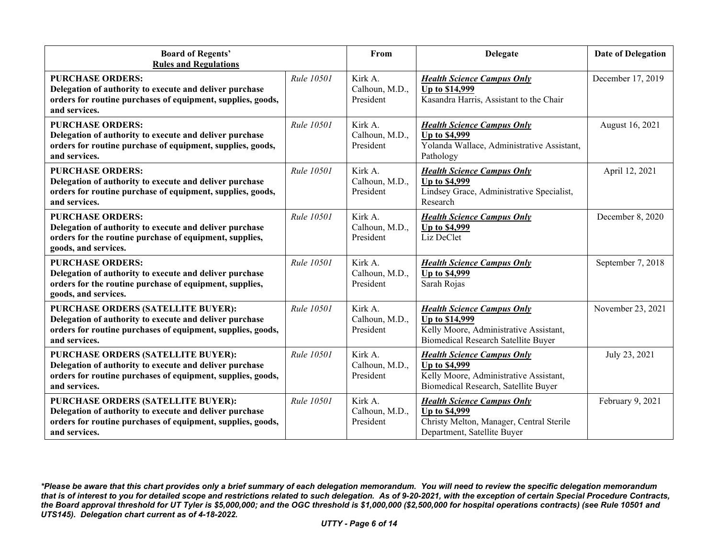| <b>Board of Regents'</b><br><b>Rules and Regulations</b>                                                                                                                      |                   | From                                   | <b>Delegate</b>                                                                                                                             | <b>Date of Delegation</b> |
|-------------------------------------------------------------------------------------------------------------------------------------------------------------------------------|-------------------|----------------------------------------|---------------------------------------------------------------------------------------------------------------------------------------------|---------------------------|
| <b>PURCHASE ORDERS:</b><br>Delegation of authority to execute and deliver purchase<br>orders for routine purchases of equipment, supplies, goods,<br>and services.            | <b>Rule 10501</b> | Kirk A.<br>Calhoun, M.D.,<br>President | <b>Health Science Campus Only</b><br>Up to \$14,999<br>Kasandra Harris, Assistant to the Chair                                              | December 17, 2019         |
| <b>PURCHASE ORDERS:</b><br>Delegation of authority to execute and deliver purchase<br>orders for routine purchase of equipment, supplies, goods,<br>and services.             | Rule 10501        | Kirk A.<br>Calhoun, M.D.,<br>President | <b>Health Science Campus Only</b><br><b>Up to \$4,999</b><br>Yolanda Wallace, Administrative Assistant,<br>Pathology                        | August 16, 2021           |
| <b>PURCHASE ORDERS:</b><br>Delegation of authority to execute and deliver purchase<br>orders for routine purchase of equipment, supplies, goods,<br>and services.             | <i>Rule</i> 10501 | Kirk A.<br>Calhoun, M.D.,<br>President | <b>Health Science Campus Only</b><br><b>Up to \$4,999</b><br>Lindsey Grace, Administrative Specialist,<br>Research                          | April 12, 2021            |
| <b>PURCHASE ORDERS:</b><br>Delegation of authority to execute and deliver purchase<br>orders for the routine purchase of equipment, supplies,<br>goods, and services.         | <b>Rule 10501</b> | Kirk A.<br>Calhoun, M.D.,<br>President | <b>Health Science Campus Only</b><br><b>Up to \$4,999</b><br>Liz DeClet                                                                     | December 8, 2020          |
| <b>PURCHASE ORDERS:</b><br>Delegation of authority to execute and deliver purchase<br>orders for the routine purchase of equipment, supplies,<br>goods, and services.         | Rule 10501        | Kirk A.<br>Calhoun, M.D.,<br>President | <b>Health Science Campus Only</b><br><b>Up to \$4,999</b><br>Sarah Rojas                                                                    | September 7, 2018         |
| PURCHASE ORDERS (SATELLITE BUYER):<br>Delegation of authority to execute and deliver purchase<br>orders for routine purchases of equipment, supplies, goods,<br>and services. | <b>Rule 10501</b> | Kirk A.<br>Calhoun, M.D.,<br>President | <b>Health Science Campus Only</b><br>Up to \$14,999<br>Kelly Moore, Administrative Assistant,<br><b>Biomedical Research Satellite Buyer</b> | November 23, 2021         |
| PURCHASE ORDERS (SATELLITE BUYER):<br>Delegation of authority to execute and deliver purchase<br>orders for routine purchases of equipment, supplies, goods,<br>and services. | <b>Rule 10501</b> | Kirk A.<br>Calhoun, M.D.,<br>President | <b>Health Science Campus Only</b><br><b>Up to \$4,999</b><br>Kelly Moore, Administrative Assistant,<br>Biomedical Research, Satellite Buyer | July 23, 2021             |
| PURCHASE ORDERS (SATELLITE BUYER):<br>Delegation of authority to execute and deliver purchase<br>orders for routine purchases of equipment, supplies, goods,<br>and services. | Rule 10501        | Kirk A.<br>Calhoun, M.D.,<br>President | <b>Health Science Campus Only</b><br><b>Up to \$4,999</b><br>Christy Melton, Manager, Central Sterile<br>Department, Satellite Buyer        | February 9, 2021          |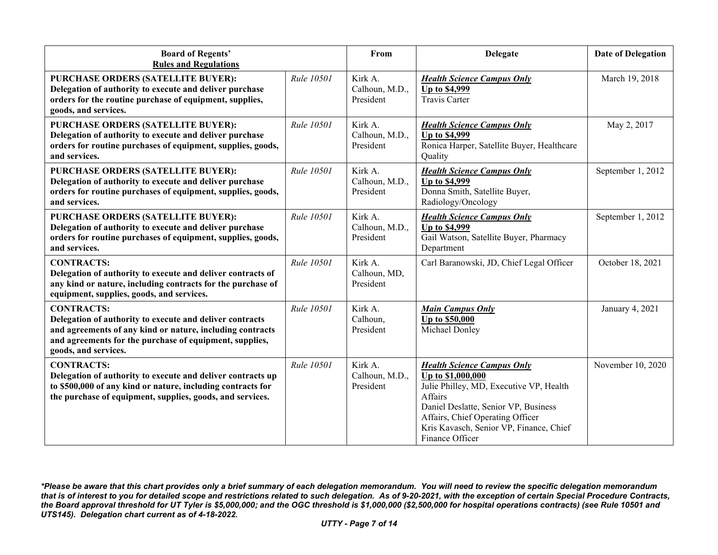| <b>Board of Regents'</b><br><b>Rules and Regulations</b>                                                                                                                                                                      |                   | From                                   | <b>Delegate</b>                                                                                                                                                                                                                                        | <b>Date of Delegation</b> |
|-------------------------------------------------------------------------------------------------------------------------------------------------------------------------------------------------------------------------------|-------------------|----------------------------------------|--------------------------------------------------------------------------------------------------------------------------------------------------------------------------------------------------------------------------------------------------------|---------------------------|
| PURCHASE ORDERS (SATELLITE BUYER):<br>Delegation of authority to execute and deliver purchase<br>orders for the routine purchase of equipment, supplies,<br>goods, and services.                                              | Rule 10501        | Kirk A.<br>Calhoun, M.D.,<br>President | <b>Health Science Campus Only</b><br><b>Up to \$4,999</b><br><b>Travis Carter</b>                                                                                                                                                                      | March 19, 2018            |
| PURCHASE ORDERS (SATELLITE BUYER):<br>Delegation of authority to execute and deliver purchase<br>orders for routine purchases of equipment, supplies, goods,<br>and services.                                                 | <b>Rule 10501</b> | Kirk A.<br>Calhoun, M.D.,<br>President | <b>Health Science Campus Only</b><br><b>Up to \$4,999</b><br>Ronica Harper, Satellite Buyer, Healthcare<br>Quality                                                                                                                                     | May 2, 2017               |
| PURCHASE ORDERS (SATELLITE BUYER):<br>Delegation of authority to execute and deliver purchase<br>orders for routine purchases of equipment, supplies, goods,<br>and services.                                                 | <b>Rule 10501</b> | Kirk A.<br>Calhoun, M.D.,<br>President | <b>Health Science Campus Only</b><br><b>Up to \$4,999</b><br>Donna Smith, Satellite Buyer,<br>Radiology/Oncology                                                                                                                                       | September 1, 2012         |
| PURCHASE ORDERS (SATELLITE BUYER):<br>Delegation of authority to execute and deliver purchase<br>orders for routine purchases of equipment, supplies, goods,<br>and services.                                                 | Rule 10501        | Kirk A.<br>Calhoun, M.D.,<br>President | <b>Health Science Campus Only</b><br>Up to \$4,999<br>Gail Watson, Satellite Buyer, Pharmacy<br>Department                                                                                                                                             | September 1, 2012         |
| <b>CONTRACTS:</b><br>Delegation of authority to execute and deliver contracts of<br>any kind or nature, including contracts for the purchase of<br>equipment, supplies, goods, and services.                                  | Rule 10501        | Kirk A.<br>Calhoun, MD,<br>President   | Carl Baranowski, JD, Chief Legal Officer                                                                                                                                                                                                               | October 18, 2021          |
| <b>CONTRACTS:</b><br>Delegation of authority to execute and deliver contracts<br>and agreements of any kind or nature, including contracts<br>and agreements for the purchase of equipment, supplies,<br>goods, and services. | Rule 10501        | Kirk A.<br>Calhoun,<br>President       | <b>Main Campus Only</b><br>Up to \$50,000<br>Michael Donley                                                                                                                                                                                            | January 4, 2021           |
| <b>CONTRACTS:</b><br>Delegation of authority to execute and deliver contracts up<br>to \$500,000 of any kind or nature, including contracts for<br>the purchase of equipment, supplies, goods, and services.                  | Rule 10501        | Kirk A.<br>Calhoun, M.D.,<br>President | <b>Health Science Campus Only</b><br>Up to \$1,000,000<br>Julie Philley, MD, Executive VP, Health<br>Affairs<br>Daniel Deslatte, Senior VP, Business<br>Affairs, Chief Operating Officer<br>Kris Kavasch, Senior VP, Finance, Chief<br>Finance Officer | November 10, 2020         |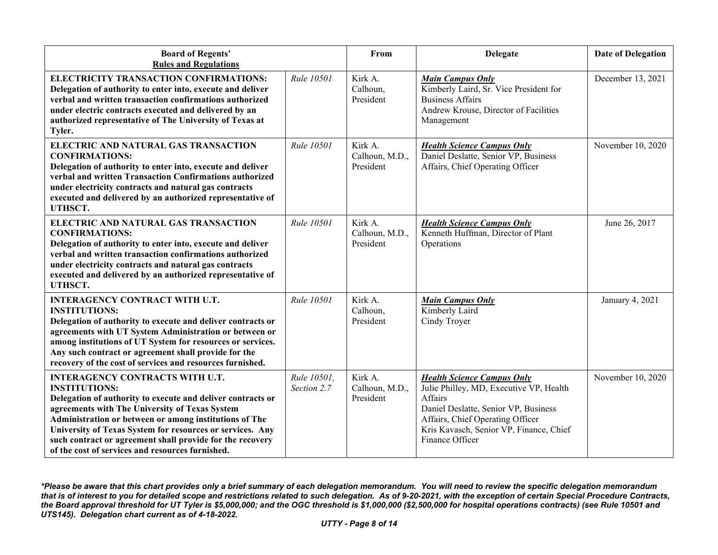| <b>Board of Regents'</b><br><b>Rules and Regulations</b>                                                                                                                                                                                                                                                                                                                                                                |                            | From                                   | <b>Delegate</b>                                                                                                                                                                                                                   | <b>Date of Delegation</b> |
|-------------------------------------------------------------------------------------------------------------------------------------------------------------------------------------------------------------------------------------------------------------------------------------------------------------------------------------------------------------------------------------------------------------------------|----------------------------|----------------------------------------|-----------------------------------------------------------------------------------------------------------------------------------------------------------------------------------------------------------------------------------|---------------------------|
| ELECTRICITY TRANSACTION CONFIRMATIONS:<br>Delegation of authority to enter into, execute and deliver<br>verbal and written transaction confirmations authorized<br>under electric contracts executed and delivered by an<br>authorized representative of The University of Texas at<br>Tyler.                                                                                                                           | Rule 10501                 | Kirk A.<br>Calhoun,<br>President       | <b>Main Campus Only</b><br>Kimberly Laird, Sr. Vice President for<br><b>Business Affairs</b><br>Andrew Krouse, Director of Facilities<br>Management                                                                               | December 13, 2021         |
| ELECTRIC AND NATURAL GAS TRANSACTION<br><b>CONFIRMATIONS:</b><br>Delegation of authority to enter into, execute and deliver<br>verbal and written Transaction Confirmations authorized<br>under electricity contracts and natural gas contracts<br>executed and delivered by an authorized representative of<br>UTHSCT.                                                                                                 | <b>Rule 10501</b>          | Kirk A.<br>Calhoun, M.D.,<br>President | <b>Health Science Campus Only</b><br>Daniel Deslatte, Senior VP, Business<br>Affairs, Chief Operating Officer                                                                                                                     | November 10, 2020         |
| ELECTRIC AND NATURAL GAS TRANSACTION<br><b>CONFIRMATIONS:</b><br>Delegation of authority to enter into, execute and deliver<br>verbal and written transaction confirmations authorized<br>under electricity contracts and natural gas contracts<br>executed and delivered by an authorized representative of<br>UTHSCT.                                                                                                 | Rule 10501                 | Kirk A.<br>Calhoun, M.D.,<br>President | <b>Health Science Campus Only</b><br>Kenneth Huffman, Director of Plant<br>Operations                                                                                                                                             | June 26, 2017             |
| <b>INTERAGENCY CONTRACT WITH U.T.</b><br><b>INSTITUTIONS:</b><br>Delegation of authority to execute and deliver contracts or<br>agreements with UT System Administration or between or<br>among institutions of UT System for resources or services.<br>Any such contract or agreement shall provide for the<br>recovery of the cost of services and resources furnished.                                               | Rule 10501                 | Kirk A.<br>Calhoun,<br>President       | <b>Main Campus Only</b><br>Kimberly Laird<br>Cindy Troyer                                                                                                                                                                         | January 4, 2021           |
| <b>INTERAGENCY CONTRACTS WITH U.T.</b><br><b>INSTITUTIONS:</b><br>Delegation of authority to execute and deliver contracts or<br>agreements with The University of Texas System<br>Administration or between or among institutions of The<br>University of Texas System for resources or services. Any<br>such contract or agreement shall provide for the recovery<br>of the cost of services and resources furnished. | Rule 10501,<br>Section 2.7 | Kirk A.<br>Calhoun, M.D.,<br>President | <b>Health Science Campus Only</b><br>Julie Philley, MD, Executive VP, Health<br>Affairs<br>Daniel Deslatte, Senior VP, Business<br>Affairs, Chief Operating Officer<br>Kris Kavasch, Senior VP, Finance, Chief<br>Finance Officer | November 10, 2020         |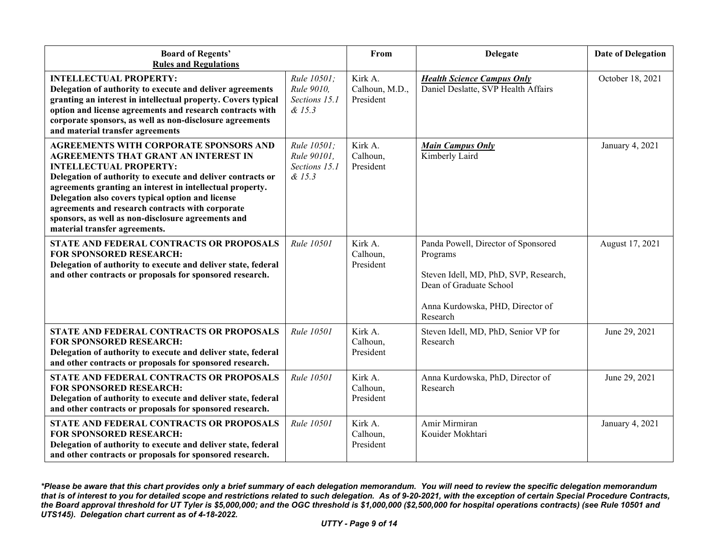| <b>Board of Regents'</b><br><b>Rules and Regulations</b>                                                                                                                                                                                                                                                                                                                                                                                           |                                                       | From                                   | <b>Delegate</b>                                                                                                                                                     | <b>Date of Delegation</b> |
|----------------------------------------------------------------------------------------------------------------------------------------------------------------------------------------------------------------------------------------------------------------------------------------------------------------------------------------------------------------------------------------------------------------------------------------------------|-------------------------------------------------------|----------------------------------------|---------------------------------------------------------------------------------------------------------------------------------------------------------------------|---------------------------|
| <b>INTELLECTUAL PROPERTY:</b><br>Delegation of authority to execute and deliver agreements<br>granting an interest in intellectual property. Covers typical<br>option and license agreements and research contracts with<br>corporate sponsors, as well as non-disclosure agreements<br>and material transfer agreements                                                                                                                           | Rule 10501:<br>Rule 9010,<br>Sections 15.1<br>& 15.3  | Kirk A.<br>Calhoun, M.D.,<br>President | <b>Health Science Campus Only</b><br>Daniel Deslatte, SVP Health Affairs                                                                                            | October 18, 2021          |
| <b>AGREEMENTS WITH CORPORATE SPONSORS AND</b><br>AGREEMENTS THAT GRANT AN INTEREST IN<br><b>INTELLECTUAL PROPERTY:</b><br>Delegation of authority to execute and deliver contracts or<br>agreements granting an interest in intellectual property.<br>Delegation also covers typical option and license<br>agreements and research contracts with corporate<br>sponsors, as well as non-disclosure agreements and<br>material transfer agreements. | Rule 10501:<br>Rule 90101,<br>Sections 15.1<br>& 15.3 | Kirk A.<br>Calhoun,<br>President       | <b>Main Campus Only</b><br>Kimberly Laird                                                                                                                           | January 4, 2021           |
| STATE AND FEDERAL CONTRACTS OR PROPOSALS<br><b>FOR SPONSORED RESEARCH:</b><br>Delegation of authority to execute and deliver state, federal<br>and other contracts or proposals for sponsored research.                                                                                                                                                                                                                                            | Rule 10501                                            | Kirk A.<br>Calhoun,<br>President       | Panda Powell, Director of Sponsored<br>Programs<br>Steven Idell, MD, PhD, SVP, Research,<br>Dean of Graduate School<br>Anna Kurdowska, PHD, Director of<br>Research | August 17, 2021           |
| STATE AND FEDERAL CONTRACTS OR PROPOSALS<br><b>FOR SPONSORED RESEARCH:</b><br>Delegation of authority to execute and deliver state, federal<br>and other contracts or proposals for sponsored research.                                                                                                                                                                                                                                            | Rule 10501                                            | Kirk A.<br>Calhoun,<br>President       | Steven Idell, MD, PhD, Senior VP for<br>Research                                                                                                                    | June 29, 2021             |
| STATE AND FEDERAL CONTRACTS OR PROPOSALS<br><b>FOR SPONSORED RESEARCH:</b><br>Delegation of authority to execute and deliver state, federal<br>and other contracts or proposals for sponsored research.                                                                                                                                                                                                                                            | Rule 10501                                            | Kirk A.<br>Calhoun,<br>President       | Anna Kurdowska, PhD, Director of<br>Research                                                                                                                        | June 29, 2021             |
| STATE AND FEDERAL CONTRACTS OR PROPOSALS<br><b>FOR SPONSORED RESEARCH:</b><br>Delegation of authority to execute and deliver state, federal<br>and other contracts or proposals for sponsored research.                                                                                                                                                                                                                                            | Rule 10501                                            | Kirk A.<br>Calhoun,<br>President       | Amir Mirmiran<br>Kouider Mokhtari                                                                                                                                   | January 4, 2021           |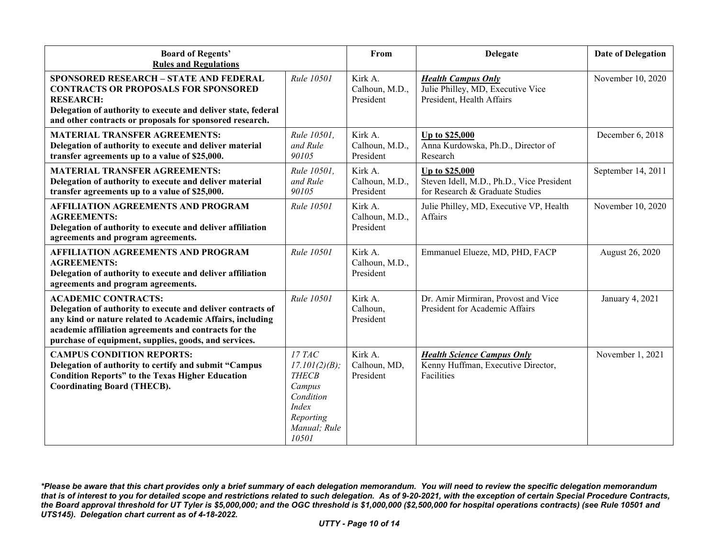| <b>Board of Regents'</b><br><b>Rules and Regulations</b>                                                                                                                                                                                                                 |                                                                                                                      | From                                   | <b>Delegate</b>                                                                                | <b>Date of Delegation</b> |
|--------------------------------------------------------------------------------------------------------------------------------------------------------------------------------------------------------------------------------------------------------------------------|----------------------------------------------------------------------------------------------------------------------|----------------------------------------|------------------------------------------------------------------------------------------------|---------------------------|
| <b>SPONSORED RESEARCH - STATE AND FEDERAL</b><br><b>CONTRACTS OR PROPOSALS FOR SPONSORED</b><br><b>RESEARCH:</b><br>Delegation of authority to execute and deliver state, federal<br>and other contracts or proposals for sponsored research.                            | <b>Rule 10501</b>                                                                                                    | Kirk A.<br>Calhoun, M.D.,<br>President | <b>Health Campus Only</b><br>Julie Philley, MD, Executive Vice<br>President, Health Affairs    | November 10, 2020         |
| <b>MATERIAL TRANSFER AGREEMENTS:</b><br>Delegation of authority to execute and deliver material<br>transfer agreements up to a value of \$25,000.                                                                                                                        | Rule 10501,<br>and Rule<br>90105                                                                                     | Kirk A.<br>Calhoun, M.D.,<br>President | Up to \$25,000<br>Anna Kurdowska, Ph.D., Director of<br>Research                               | December 6, 2018          |
| <b>MATERIAL TRANSFER AGREEMENTS:</b><br>Delegation of authority to execute and deliver material<br>transfer agreements up to a value of \$25,000.                                                                                                                        | Rule 10501,<br>and Rule<br>90105                                                                                     | Kirk A.<br>Calhoun, M.D.,<br>President | Up to \$25,000<br>Steven Idell, M.D., Ph.D., Vice President<br>for Research & Graduate Studies | September 14, 2011        |
| <b>AFFILIATION AGREEMENTS AND PROGRAM</b><br><b>AGREEMENTS:</b><br>Delegation of authority to execute and deliver affiliation<br>agreements and program agreements.                                                                                                      | Rule 10501                                                                                                           | Kirk A.<br>Calhoun, M.D.,<br>President | Julie Philley, MD, Executive VP, Health<br>Affairs                                             | November 10, 2020         |
| <b>AFFILIATION AGREEMENTS AND PROGRAM</b><br><b>AGREEMENTS:</b><br>Delegation of authority to execute and deliver affiliation<br>agreements and program agreements.                                                                                                      | <b>Rule 10501</b>                                                                                                    | Kirk A.<br>Calhoun, M.D.,<br>President | Emmanuel Elueze, MD, PHD, FACP                                                                 | August 26, 2020           |
| <b>ACADEMIC CONTRACTS:</b><br>Delegation of authority to execute and deliver contracts of<br>any kind or nature related to Academic Affairs, including<br>academic affiliation agreements and contracts for the<br>purchase of equipment, supplies, goods, and services. | Rule 10501                                                                                                           | Kirk A.<br>Calhoun,<br>President       | Dr. Amir Mirmiran, Provost and Vice<br>President for Academic Affairs                          | January 4, 2021           |
| <b>CAMPUS CONDITION REPORTS:</b><br>Delegation of authority to certify and submit "Campus<br><b>Condition Reports" to the Texas Higher Education</b><br><b>Coordinating Board (THECB).</b>                                                                               | 17 TAC<br>17.101(2)(B);<br><b>THECB</b><br>Campus<br>Condition<br><i>Index</i><br>Reporting<br>Manual; Rule<br>10501 | Kirk A.<br>Calhoun, MD,<br>President   | <b>Health Science Campus Only</b><br>Kenny Huffman, Executive Director,<br>Facilities          | November 1, 2021          |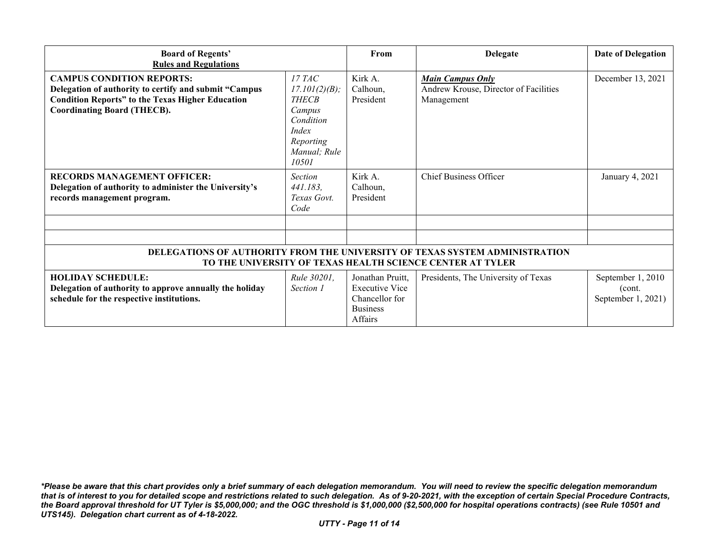| <b>Board of Regents'</b><br><b>Rules and Regulations</b>                                                                                                                                   |                                                                                                                      | From                                                                                             | <b>Delegate</b>                                                                | <b>Date of Delegation</b>                          |
|--------------------------------------------------------------------------------------------------------------------------------------------------------------------------------------------|----------------------------------------------------------------------------------------------------------------------|--------------------------------------------------------------------------------------------------|--------------------------------------------------------------------------------|----------------------------------------------------|
| <b>CAMPUS CONDITION REPORTS:</b><br>Delegation of authority to certify and submit "Campus<br><b>Condition Reports" to the Texas Higher Education</b><br><b>Coordinating Board (THECB).</b> | <i>17 TAC</i><br>17.101(2)(B);<br><b>THECB</b><br>Campus<br>Condition<br>Index<br>Reporting<br>Manual; Rule<br>10501 | Kirk A.<br>Calhoun,<br>President                                                                 | <b>Main Campus Only</b><br>Andrew Krouse, Director of Facilities<br>Management | December 13, 2021                                  |
| <b>RECORDS MANAGEMENT OFFICER:</b><br>Delegation of authority to administer the University's<br>records management program.                                                                | <b>Section</b><br>441.183,<br>Texas Govt.<br>Code                                                                    | Kirk A.<br>Calhoun,<br>President                                                                 | <b>Chief Business Officer</b>                                                  | January 4, 2021                                    |
|                                                                                                                                                                                            |                                                                                                                      |                                                                                                  |                                                                                |                                                    |
| DELEGATIONS OF AUTHORITY FROM THE UNIVERSITY OF TEXAS SYSTEM ADMINISTRATION<br>TO THE UNIVERSITY OF TEXAS HEALTH SCIENCE CENTER AT TYLER                                                   |                                                                                                                      |                                                                                                  |                                                                                |                                                    |
| <b>HOLIDAY SCHEDULE:</b><br>Delegation of authority to approve annually the holiday<br>schedule for the respective institutions.                                                           | Rule 30201,<br>Section 1                                                                                             | Jonathan Pruitt,<br><b>Executive Vice</b><br>Chancellor for<br><b>Business</b><br><b>Affairs</b> | Presidents, The University of Texas                                            | September 1, 2010<br>(cont.)<br>September 1, 2021) |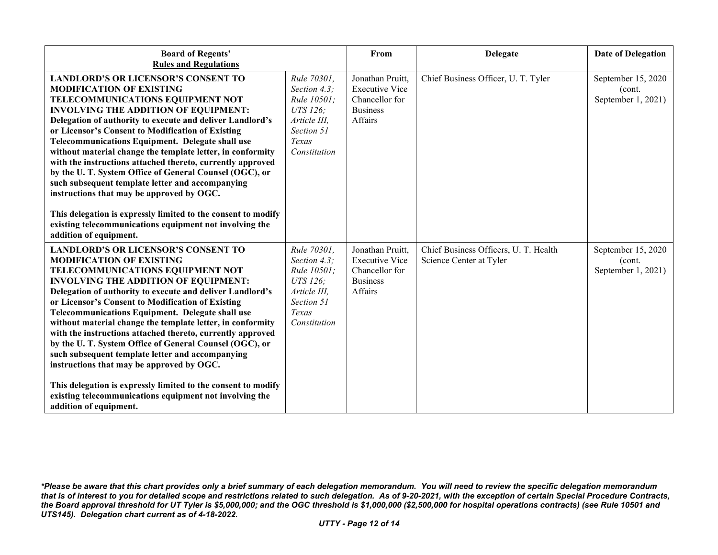| <b>Board of Regents'</b><br><b>Rules and Regulations</b>                                                                                                                                                                                                                                                                                                                                                                                                                                                                                                                                                                                                                                                                                                                                   |                                                                                                               | From                                                                                      | <b>Delegate</b>                                                  | <b>Date of Delegation</b>                           |
|--------------------------------------------------------------------------------------------------------------------------------------------------------------------------------------------------------------------------------------------------------------------------------------------------------------------------------------------------------------------------------------------------------------------------------------------------------------------------------------------------------------------------------------------------------------------------------------------------------------------------------------------------------------------------------------------------------------------------------------------------------------------------------------------|---------------------------------------------------------------------------------------------------------------|-------------------------------------------------------------------------------------------|------------------------------------------------------------------|-----------------------------------------------------|
| <b>LANDLORD'S OR LICENSOR'S CONSENT TO</b><br><b>MODIFICATION OF EXISTING</b><br>TELECOMMUNICATIONS EQUIPMENT NOT<br><b>INVOLVING THE ADDITION OF EQUIPMENT:</b><br>Delegation of authority to execute and deliver Landlord's<br>or Licensor's Consent to Modification of Existing<br><b>Telecommunications Equipment. Delegate shall use</b><br>without material change the template letter, in conformity<br>with the instructions attached thereto, currently approved<br>by the U.T. System Office of General Counsel (OGC), or<br>such subsequent template letter and accompanying<br>instructions that may be approved by OGC.<br>This delegation is expressly limited to the consent to modify<br>existing telecommunications equipment not involving the<br>addition of equipment. | Rule 70301,<br>Section 4.3;<br>Rule 10501;<br>UTS 126;<br>Article III,<br>Section 51<br>Texas<br>Constitution | Jonathan Pruitt,<br><b>Executive Vice</b><br>Chancellor for<br><b>Business</b><br>Affairs | Chief Business Officer, U. T. Tyler                              | September 15, 2020<br>(cont.<br>September 1, 2021)  |
| <b>LANDLORD'S OR LICENSOR'S CONSENT TO</b><br><b>MODIFICATION OF EXISTING</b><br>TELECOMMUNICATIONS EQUIPMENT NOT<br><b>INVOLVING THE ADDITION OF EQUIPMENT:</b><br>Delegation of authority to execute and deliver Landlord's<br>or Licensor's Consent to Modification of Existing<br>Telecommunications Equipment. Delegate shall use<br>without material change the template letter, in conformity<br>with the instructions attached thereto, currently approved<br>by the U.T. System Office of General Counsel (OGC), or<br>such subsequent template letter and accompanying<br>instructions that may be approved by OGC.<br>This delegation is expressly limited to the consent to modify<br>existing telecommunications equipment not involving the<br>addition of equipment.        | Rule 70301,<br>Section 4.3;<br>Rule 10501;<br>UTS 126:<br>Article III.<br>Section 51<br>Texas<br>Constitution | Jonathan Pruitt,<br><b>Executive Vice</b><br>Chancellor for<br><b>Business</b><br>Affairs | Chief Business Officers, U. T. Health<br>Science Center at Tyler | September 15, 2020<br>(cont.)<br>September 1, 2021) |

*<sup>\*</sup>Please be aware that this chart provides only a brief summary of each delegation memorandum. You will need to review the specific delegation memorandum that is of interest to you for detailed scope and restrictions related to such delegation. As of 9-20-2021, with the exception of certain Special Procedure Contracts, the Board approval threshold for UT Tyler is \$5,000,000; and the OGC threshold is \$1,000,000 (\$2,500,000 for hospital operations contracts) (see Rule 10501 and UTS145). Delegation chart current as of 4-18-2022.*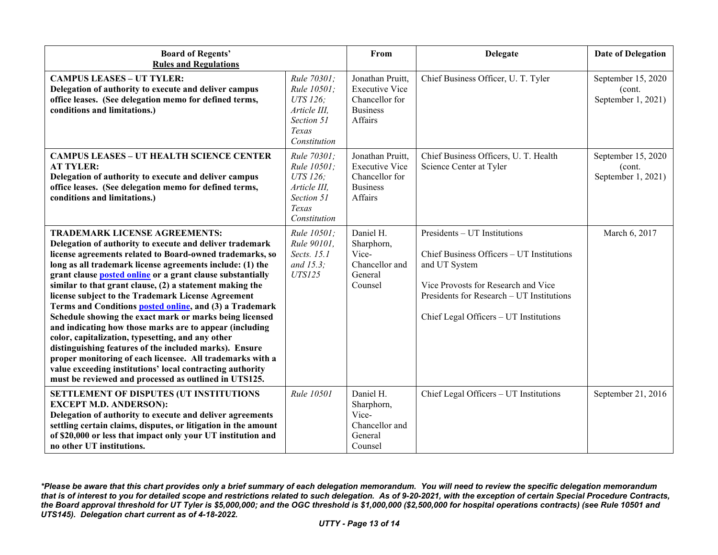| <b>Board of Regents'</b><br><b>Rules and Regulations</b>                                                                                                                                                                                                                                                                                                                                                                                                                                                                                                                                                                                                                                                                                                                                                                                                                                            |                                                                                               | From                                                                                      | <b>Delegate</b>                                                                                                                                                                                                          | <b>Date of Delegation</b>                          |
|-----------------------------------------------------------------------------------------------------------------------------------------------------------------------------------------------------------------------------------------------------------------------------------------------------------------------------------------------------------------------------------------------------------------------------------------------------------------------------------------------------------------------------------------------------------------------------------------------------------------------------------------------------------------------------------------------------------------------------------------------------------------------------------------------------------------------------------------------------------------------------------------------------|-----------------------------------------------------------------------------------------------|-------------------------------------------------------------------------------------------|--------------------------------------------------------------------------------------------------------------------------------------------------------------------------------------------------------------------------|----------------------------------------------------|
| <b>CAMPUS LEASES - UT TYLER:</b><br>Delegation of authority to execute and deliver campus<br>office leases. (See delegation memo for defined terms,<br>conditions and limitations.)                                                                                                                                                                                                                                                                                                                                                                                                                                                                                                                                                                                                                                                                                                                 | Rule 70301;<br>Rule 10501;<br>UTS 126:<br>Article III,<br>Section 51<br>Texas<br>Constitution | Jonathan Pruitt,<br><b>Executive Vice</b><br>Chancellor for<br><b>Business</b><br>Affairs | Chief Business Officer, U. T. Tyler                                                                                                                                                                                      | September 15, 2020<br>(cont.<br>September 1, 2021) |
| <b>CAMPUS LEASES - UT HEALTH SCIENCE CENTER</b><br><b>AT TYLER:</b><br>Delegation of authority to execute and deliver campus<br>office leases. (See delegation memo for defined terms,<br>conditions and limitations.)                                                                                                                                                                                                                                                                                                                                                                                                                                                                                                                                                                                                                                                                              | Rule 70301;<br>Rule 10501;<br>UTS 126;<br>Article III,<br>Section 51<br>Texas<br>Constitution | Jonathan Pruitt,<br><b>Executive Vice</b><br>Chancellor for<br><b>Business</b><br>Affairs | Chief Business Officers, U. T. Health<br>Science Center at Tyler                                                                                                                                                         | September 15, 2020<br>(cont.<br>September 1, 2021) |
| <b>TRADEMARK LICENSE AGREEMENTS:</b><br>Delegation of authority to execute and deliver trademark<br>license agreements related to Board-owned trademarks, so<br>long as all trademark license agreements include: (1) the<br>grant clause <b>posted online</b> or a grant clause substantially<br>similar to that grant clause, (2) a statement making the<br>license subject to the Trademark License Agreement<br>Terms and Conditions posted online, and (3) a Trademark<br>Schedule showing the exact mark or marks being licensed<br>and indicating how those marks are to appear (including<br>color, capitalization, typesetting, and any other<br>distinguishing features of the included marks). Ensure<br>proper monitoring of each licensee. All trademarks with a<br>value exceeding institutions' local contracting authority<br>must be reviewed and processed as outlined in UTS125. | Rule 10501:<br>Rule 90101.<br>Sects. 15.1<br>and $15.3$ ;<br><b>UTS125</b>                    | Daniel H.<br>Sharphorn,<br>Vice-<br>Chancellor and<br>General<br>Counsel                  | Presidents - UT Institutions<br>Chief Business Officers - UT Institutions<br>and UT System<br>Vice Provosts for Research and Vice<br>Presidents for Research - UT Institutions<br>Chief Legal Officers - UT Institutions | March 6, 2017                                      |
| SETTLEMENT OF DISPUTES (UT INSTITUTIONS<br><b>EXCEPT M.D. ANDERSON):</b><br>Delegation of authority to execute and deliver agreements<br>settling certain claims, disputes, or litigation in the amount<br>of \$20,000 or less that impact only your UT institution and<br>no other UT institutions.                                                                                                                                                                                                                                                                                                                                                                                                                                                                                                                                                                                                | Rule 10501                                                                                    | Daniel H.<br>Sharphorn,<br>Vice-<br>Chancellor and<br>General<br>Counsel                  | Chief Legal Officers - UT Institutions                                                                                                                                                                                   | September 21, 2016                                 |